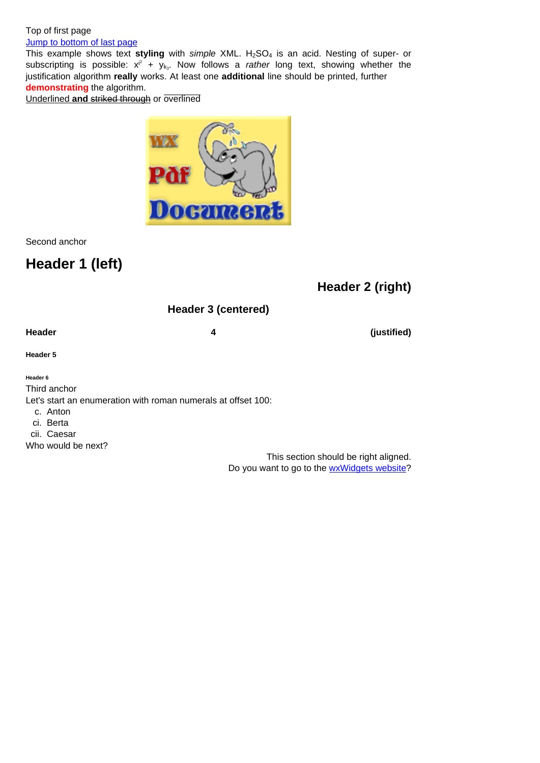#### Jump to bottom of last page

This example shows text styling with simple XML. H<sub>2</sub>SO<sub>4</sub> is an acid. Nesting of super- or subscripting is possible:  $x^{i^2} + y_{k_3}$ . Now follows a rather long text, showing whether the justification algorithm **really** works. At least one **additional** line should be printed, further **[demonstrating](#page-4-0)** the algorithm.

Underlined **and** striked through or overlined



Second anchor

# **Header 1 (left)**

## **Header 2 (right)**

### **Header 3 (centered)**

Header **1** (justified)

**Header 5**

**Header 6**

Third anchor

Let's start an enumeration with roman numerals at offset 100:

c. Anton

ci. Berta

cii. Caesar

Who would be next?

This section should be right aligned. Do you want to go to the wxWidgets website?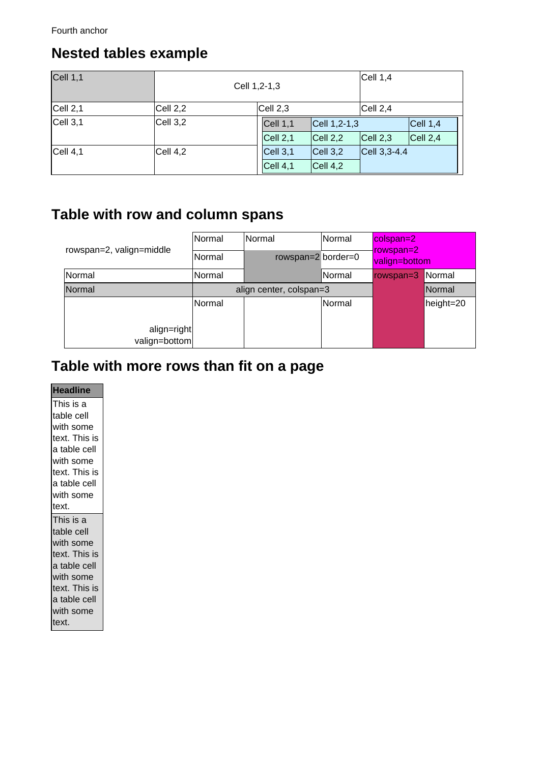## **Nested tables example**

| Cell 1, 1 | Cell 1,2-1,3 |            |                    | Cell 1, 4        |           |
|-----------|--------------|------------|--------------------|------------------|-----------|
| Cell 2, 1 | Cell 2,2     | Cell 2,3   |                    | Cell 2, 4        |           |
| Cell 3, 1 | Cell 3,2     | Cell $1,1$ | $ Cell 1, 2-1, 3 $ |                  | Cell 1, 4 |
|           |              | Cell 2,1   | Cell 2,2           | Cell 2,3         | Cell 2, 4 |
| Cell 4, 1 | Cell 4,2     | Cell 3, 1  | Cell 3,2           | $ Cell 3, 3-4.4$ |           |
|           |              | Cell 4,1   | Cell 4,2           |                  |           |

# **Table with row and column spans**

| rowspan=2, valign=middle     | lNormal<br>Normal | <b>Normal</b><br>rowspan= $2$ border= $0$ | Normal        | colspan=2<br>rowspan=2<br>valign=bottom |           |
|------------------------------|-------------------|-------------------------------------------|---------------|-----------------------------------------|-----------|
| Normal                       | Normal            |                                           | lNormal       | rowspan=3                               | Normal    |
| Normal                       |                   | align center, colspan=3                   |               |                                         | Normal    |
|                              | Normal            |                                           | <b>Normal</b> |                                         | height=20 |
| align=right<br>valign=bottom |                   |                                           |               |                                         |           |

# **Table with more rows than fit on a page**

#### **Headline**

This is a table cell with some text. This is a table cell with some text. This is a table cell with some text. This is a table cell with some text. This is a table cell with some text. This is a table cell with some text.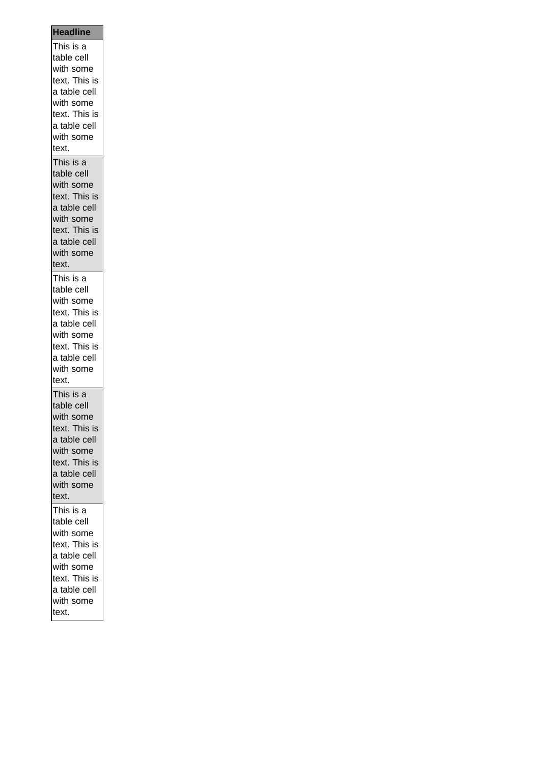| This is a                  |
|----------------------------|
| table cell                 |
| with some                  |
| text. This is              |
| a table cell               |
| with some                  |
| text. This is              |
| a table cell               |
| with some                  |
| text.                      |
| This is a                  |
| table cell                 |
| with some                  |
| text. This is              |
| a table cell               |
| with some                  |
| text. This is              |
| a table cell               |
| with some                  |
| text.                      |
| This is a                  |
| table cell                 |
| with some                  |
| text. This is              |
| a table cell               |
| with some                  |
| text. This is              |
| a table cell               |
| with some                  |
| text.                      |
|                            |
| This is a<br>table cell    |
|                            |
| with some<br>text. This is |
| a table cell               |
|                            |
| with some<br>text. This is |
|                            |
| a table cell<br>with some  |
|                            |
| text.                      |
| This is a                  |
| table cell                 |
| with some                  |
| text. This is              |
| a table cell               |
| with some                  |
| text. This is              |
| a table cell               |
|                            |
| with some<br>text.         |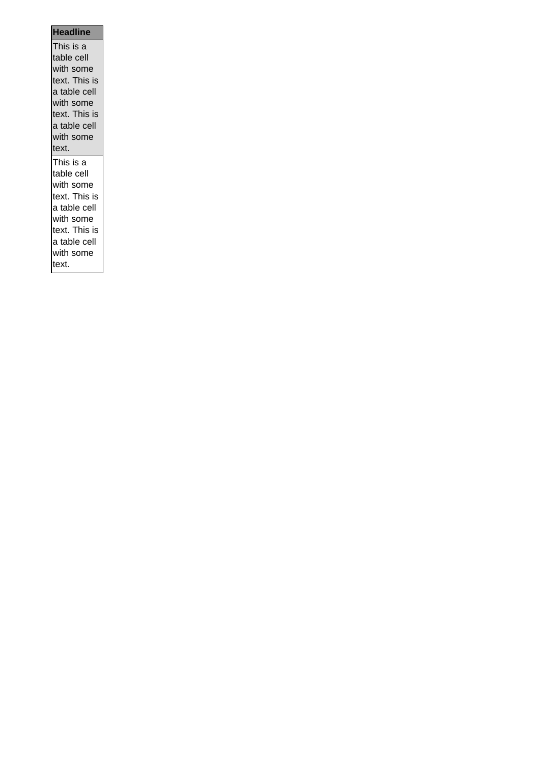| i nis is a    |
|---------------|
| table cell    |
| with some     |
| text. This is |
| a table cell  |
| with some     |
| text. This is |
| a table cell  |
| with some     |
| text.         |
|               |
| This is a     |
| table cell    |
| with some     |
| text. This is |
| a table cell  |
| with some     |
| text. This is |
| a table cell  |
| with some     |